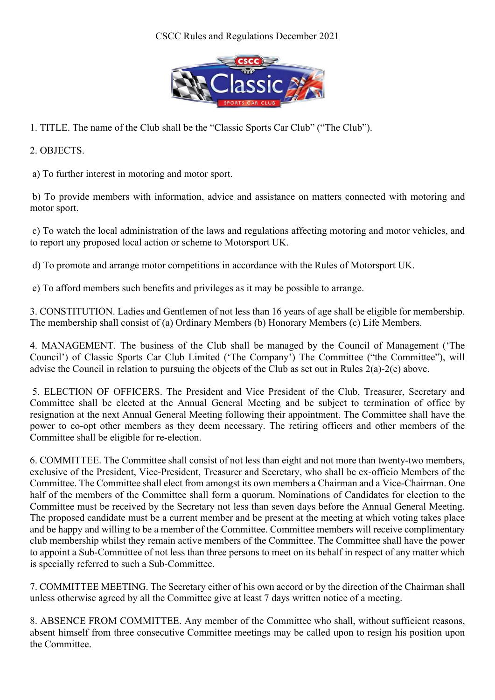## CSCC Rules and Regulations December 2021



1. TITLE. The name of the Club shall be the "Classic Sports Car Club" ("The Club").

2. OBJECTS.

a) To further interest in motoring and motor sport.

 b) To provide members with information, advice and assistance on matters connected with motoring and motor sport.

 c) To watch the local administration of the laws and regulations affecting motoring and motor vehicles, and to report any proposed local action or scheme to Motorsport UK.

d) To promote and arrange motor competitions in accordance with the Rules of Motorsport UK.

e) To afford members such benefits and privileges as it may be possible to arrange.

3. CONSTITUTION. Ladies and Gentlemen of not less than 16 years of age shall be eligible for membership. The membership shall consist of (a) Ordinary Members (b) Honorary Members (c) Life Members.

4. MANAGEMENT. The business of the Club shall be managed by the Council of Management ('The Council') of Classic Sports Car Club Limited ('The Company') The Committee ("the Committee"), will advise the Council in relation to pursuing the objects of the Club as set out in Rules 2(a)-2(e) above.

 5. ELECTION OF OFFICERS. The President and Vice President of the Club, Treasurer, Secretary and Committee shall be elected at the Annual General Meeting and be subject to termination of office by resignation at the next Annual General Meeting following their appointment. The Committee shall have the power to co-opt other members as they deem necessary. The retiring officers and other members of the Committee shall be eligible for re-election.

6. COMMITTEE. The Committee shall consist of not less than eight and not more than twenty-two members, exclusive of the President, Vice-President, Treasurer and Secretary, who shall be ex-officio Members of the Committee. The Committee shall elect from amongst its own members a Chairman and a Vice-Chairman. One half of the members of the Committee shall form a quorum. Nominations of Candidates for election to the Committee must be received by the Secretary not less than seven days before the Annual General Meeting. The proposed candidate must be a current member and be present at the meeting at which voting takes place and be happy and willing to be a member of the Committee. Committee members will receive complimentary club membership whilst they remain active members of the Committee. The Committee shall have the power to appoint a Sub-Committee of not less than three persons to meet on its behalf in respect of any matter which is specially referred to such a Sub-Committee.

7. COMMITTEE MEETING. The Secretary either of his own accord or by the direction of the Chairman shall unless otherwise agreed by all the Committee give at least 7 days written notice of a meeting.

8. ABSENCE FROM COMMITTEE. Any member of the Committee who shall, without sufficient reasons, absent himself from three consecutive Committee meetings may be called upon to resign his position upon the Committee.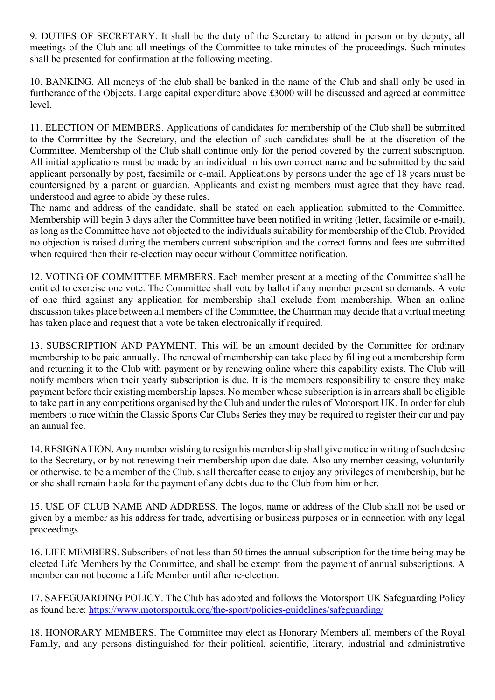9. DUTIES OF SECRETARY. It shall be the duty of the Secretary to attend in person or by deputy, all meetings of the Club and all meetings of the Committee to take minutes of the proceedings. Such minutes shall be presented for confirmation at the following meeting.

10. BANKING. All moneys of the club shall be banked in the name of the Club and shall only be used in furtherance of the Objects. Large capital expenditure above £3000 will be discussed and agreed at committee level.

11. ELECTION OF MEMBERS. Applications of candidates for membership of the Club shall be submitted to the Committee by the Secretary, and the election of such candidates shall be at the discretion of the Committee. Membership of the Club shall continue only for the period covered by the current subscription. All initial applications must be made by an individual in his own correct name and be submitted by the said applicant personally by post, facsimile or e-mail. Applications by persons under the age of 18 years must be countersigned by a parent or guardian. Applicants and existing members must agree that they have read, understood and agree to abide by these rules.

The name and address of the candidate, shall be stated on each application submitted to the Committee. Membership will begin 3 days after the Committee have been notified in writing (letter, facsimile or e-mail), as long as the Committee have not objected to the individuals suitability for membership of the Club. Provided no objection is raised during the members current subscription and the correct forms and fees are submitted when required then their re-election may occur without Committee notification.

12. VOTING OF COMMITTEE MEMBERS. Each member present at a meeting of the Committee shall be entitled to exercise one vote. The Committee shall vote by ballot if any member present so demands. A vote of one third against any application for membership shall exclude from membership. When an online discussion takes place between all members of the Committee, the Chairman may decide that a virtual meeting has taken place and request that a vote be taken electronically if required.

13. SUBSCRIPTION AND PAYMENT. This will be an amount decided by the Committee for ordinary membership to be paid annually. The renewal of membership can take place by filling out a membership form and returning it to the Club with payment or by renewing online where this capability exists. The Club will notify members when their yearly subscription is due. It is the members responsibility to ensure they make payment before their existing membership lapses. No member whose subscription is in arrears shall be eligible to take part in any competitions organised by the Club and under the rules of Motorsport UK. In order for club members to race within the Classic Sports Car Clubs Series they may be required to register their car and pay an annual fee.

14. RESIGNATION. Any member wishing to resign his membership shall give notice in writing of such desire to the Secretary, or by not renewing their membership upon due date. Also any member ceasing, voluntarily or otherwise, to be a member of the Club, shall thereafter cease to enjoy any privileges of membership, but he or she shall remain liable for the payment of any debts due to the Club from him or her.

15. USE OF CLUB NAME AND ADDRESS. The logos, name or address of the Club shall not be used or given by a member as his address for trade, advertising or business purposes or in connection with any legal proceedings.

16. LIFE MEMBERS. Subscribers of not less than 50 times the annual subscription for the time being may be elected Life Members by the Committee, and shall be exempt from the payment of annual subscriptions. A member can not become a Life Member until after re-election.

17. SAFEGUARDING POLICY. The Club has adopted and follows the Motorsport UK Safeguarding Policy as found here: https://www.motorsportuk.org/the-sport/policies-guidelines/safeguarding/

18. HONORARY MEMBERS. The Committee may elect as Honorary Members all members of the Royal Family, and any persons distinguished for their political, scientific, literary, industrial and administrative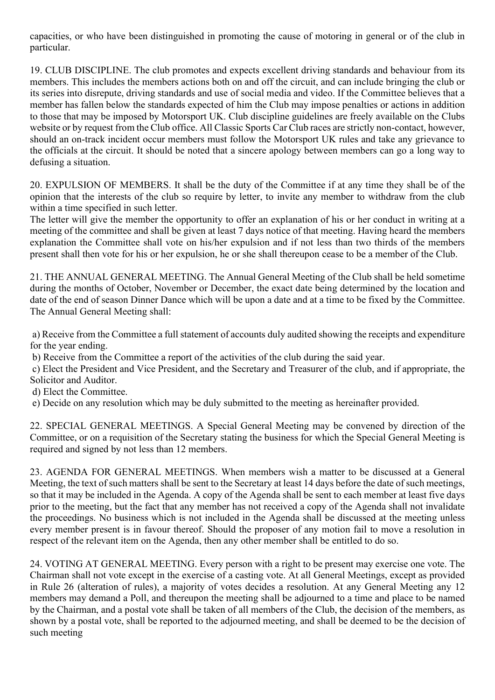capacities, or who have been distinguished in promoting the cause of motoring in general or of the club in particular.

19. CLUB DISCIPLINE. The club promotes and expects excellent driving standards and behaviour from its members. This includes the members actions both on and off the circuit, and can include bringing the club or its series into disrepute, driving standards and use of social media and video. If the Committee believes that a member has fallen below the standards expected of him the Club may impose penalties or actions in addition to those that may be imposed by Motorsport UK. Club discipline guidelines are freely available on the Clubs website or by request from the Club office. All Classic Sports Car Club races are strictly non-contact, however, should an on-track incident occur members must follow the Motorsport UK rules and take any grievance to the officials at the circuit. It should be noted that a sincere apology between members can go a long way to defusing a situation.

20. EXPULSION OF MEMBERS. It shall be the duty of the Committee if at any time they shall be of the opinion that the interests of the club so require by letter, to invite any member to withdraw from the club within a time specified in such letter.

The letter will give the member the opportunity to offer an explanation of his or her conduct in writing at a meeting of the committee and shall be given at least 7 days notice of that meeting. Having heard the members explanation the Committee shall vote on his/her expulsion and if not less than two thirds of the members present shall then vote for his or her expulsion, he or she shall thereupon cease to be a member of the Club.

21. THE ANNUAL GENERAL MEETING. The Annual General Meeting of the Club shall be held sometime during the months of October, November or December, the exact date being determined by the location and date of the end of season Dinner Dance which will be upon a date and at a time to be fixed by the Committee. The Annual General Meeting shall:

 a) Receive from the Committee a full statement of accounts duly audited showing the receipts and expenditure for the year ending.

b) Receive from the Committee a report of the activities of the club during the said year.

 c) Elect the President and Vice President, and the Secretary and Treasurer of the club, and if appropriate, the Solicitor and Auditor.

d) Elect the Committee.

e) Decide on any resolution which may be duly submitted to the meeting as hereinafter provided.

22. SPECIAL GENERAL MEETINGS. A Special General Meeting may be convened by direction of the Committee, or on a requisition of the Secretary stating the business for which the Special General Meeting is required and signed by not less than 12 members.

23. AGENDA FOR GENERAL MEETINGS. When members wish a matter to be discussed at a General Meeting, the text of such matters shall be sent to the Secretary at least 14 days before the date of such meetings, so that it may be included in the Agenda. A copy of the Agenda shall be sent to each member at least five days prior to the meeting, but the fact that any member has not received a copy of the Agenda shall not invalidate the proceedings. No business which is not included in the Agenda shall be discussed at the meeting unless every member present is in favour thereof. Should the proposer of any motion fail to move a resolution in respect of the relevant item on the Agenda, then any other member shall be entitled to do so.

24. VOTING AT GENERAL MEETING. Every person with a right to be present may exercise one vote. The Chairman shall not vote except in the exercise of a casting vote. At all General Meetings, except as provided in Rule 26 (alteration of rules), a majority of votes decides a resolution. At any General Meeting any 12 members may demand a Poll, and thereupon the meeting shall be adjourned to a time and place to be named by the Chairman, and a postal vote shall be taken of all members of the Club, the decision of the members, as shown by a postal vote, shall be reported to the adjourned meeting, and shall be deemed to be the decision of such meeting